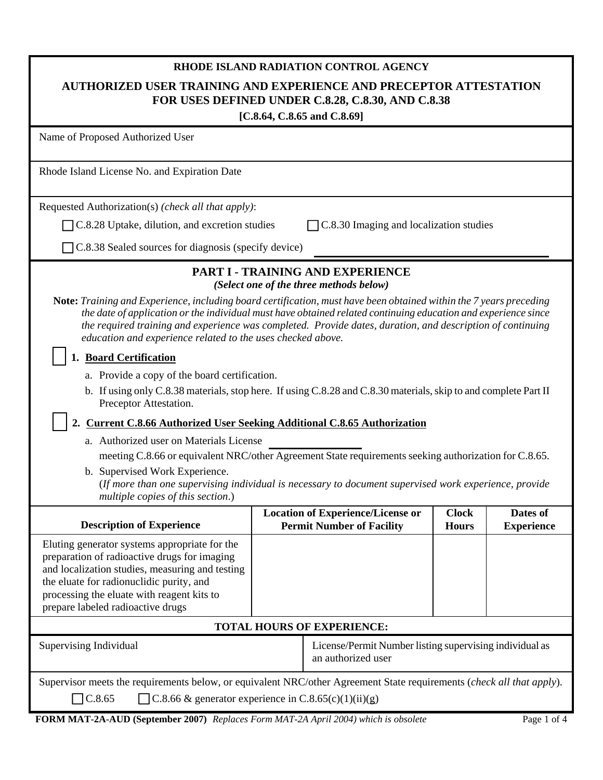| RHODE ISLAND RADIATION CONTROL AGENCY<br>AUTHORIZED USER TRAINING AND EXPERIENCE AND PRECEPTOR ATTESTATION<br>FOR USES DEFINED UNDER C.8.28, C.8.30, AND C.8.38<br>[C.8.64, C.8.65 and C.8.69]                                                                                                                                                                                                                                                                                                                                                                                                                                                                                                                                                                                                                                                                                                                                                                                                                                                              |                                                                              |                                                                                    |                              |                               |  |
|-------------------------------------------------------------------------------------------------------------------------------------------------------------------------------------------------------------------------------------------------------------------------------------------------------------------------------------------------------------------------------------------------------------------------------------------------------------------------------------------------------------------------------------------------------------------------------------------------------------------------------------------------------------------------------------------------------------------------------------------------------------------------------------------------------------------------------------------------------------------------------------------------------------------------------------------------------------------------------------------------------------------------------------------------------------|------------------------------------------------------------------------------|------------------------------------------------------------------------------------|------------------------------|-------------------------------|--|
| Name of Proposed Authorized User                                                                                                                                                                                                                                                                                                                                                                                                                                                                                                                                                                                                                                                                                                                                                                                                                                                                                                                                                                                                                            |                                                                              |                                                                                    |                              |                               |  |
| Rhode Island License No. and Expiration Date                                                                                                                                                                                                                                                                                                                                                                                                                                                                                                                                                                                                                                                                                                                                                                                                                                                                                                                                                                                                                |                                                                              |                                                                                    |                              |                               |  |
| Requested Authorization(s) (check all that apply):                                                                                                                                                                                                                                                                                                                                                                                                                                                                                                                                                                                                                                                                                                                                                                                                                                                                                                                                                                                                          |                                                                              |                                                                                    |                              |                               |  |
| C.8.28 Uptake, dilution, and excretion studies                                                                                                                                                                                                                                                                                                                                                                                                                                                                                                                                                                                                                                                                                                                                                                                                                                                                                                                                                                                                              |                                                                              | C.8.30 Imaging and localization studies                                            |                              |                               |  |
| C.8.38 Sealed sources for diagnosis (specify device)                                                                                                                                                                                                                                                                                                                                                                                                                                                                                                                                                                                                                                                                                                                                                                                                                                                                                                                                                                                                        |                                                                              |                                                                                    |                              |                               |  |
| Note: Training and Experience, including board certification, must have been obtained within the 7 years preceding<br>the date of application or the individual must have obtained related continuing education and experience since<br>the required training and experience was completed. Provide dates, duration, and description of continuing<br>education and experience related to the uses checked above.<br>1. Board Certification<br>a. Provide a copy of the board certification.<br>b. If using only C.8.38 materials, stop here. If using C.8.28 and C.8.30 materials, skip to and complete Part II<br>Preceptor Attestation.<br>2. Current C.8.66 Authorized User Seeking Additional C.8.65 Authorization<br>a. Authorized user on Materials License<br>meeting C.8.66 or equivalent NRC/other Agreement State requirements seeking authorization for C.8.65.<br>b. Supervised Work Experience.<br>(If more than one supervising individual is necessary to document supervised work experience, provide<br>multiple copies of this section.) |                                                                              | <b>PART I - TRAINING AND EXPERIENCE</b><br>(Select one of the three methods below) |                              |                               |  |
| <b>Description of Experience</b>                                                                                                                                                                                                                                                                                                                                                                                                                                                                                                                                                                                                                                                                                                                                                                                                                                                                                                                                                                                                                            | <b>Location of Experience/License or</b><br><b>Permit Number of Facility</b> |                                                                                    | <b>Clock</b><br><b>Hours</b> | Dates of<br><b>Experience</b> |  |
| Eluting generator systems appropriate for the<br>preparation of radioactive drugs for imaging<br>and localization studies, measuring and testing<br>the eluate for radionuclidic purity, and<br>processing the eluate with reagent kits to<br>prepare labeled radioactive drugs                                                                                                                                                                                                                                                                                                                                                                                                                                                                                                                                                                                                                                                                                                                                                                             |                                                                              |                                                                                    |                              |                               |  |
| <b>TOTAL HOURS OF EXPERIENCE:</b>                                                                                                                                                                                                                                                                                                                                                                                                                                                                                                                                                                                                                                                                                                                                                                                                                                                                                                                                                                                                                           |                                                                              |                                                                                    |                              |                               |  |
| Supervising Individual                                                                                                                                                                                                                                                                                                                                                                                                                                                                                                                                                                                                                                                                                                                                                                                                                                                                                                                                                                                                                                      |                                                                              | License/Permit Number listing supervising individual as<br>an authorized user      |                              |                               |  |
| Supervisor meets the requirements below, or equivalent NRC/other Agreement State requirements (check all that apply).<br>$\csc 8.65$<br>C.8.66 & generator experience in C.8.65(c)(1)(ii)(g)                                                                                                                                                                                                                                                                                                                                                                                                                                                                                                                                                                                                                                                                                                                                                                                                                                                                |                                                                              |                                                                                    |                              |                               |  |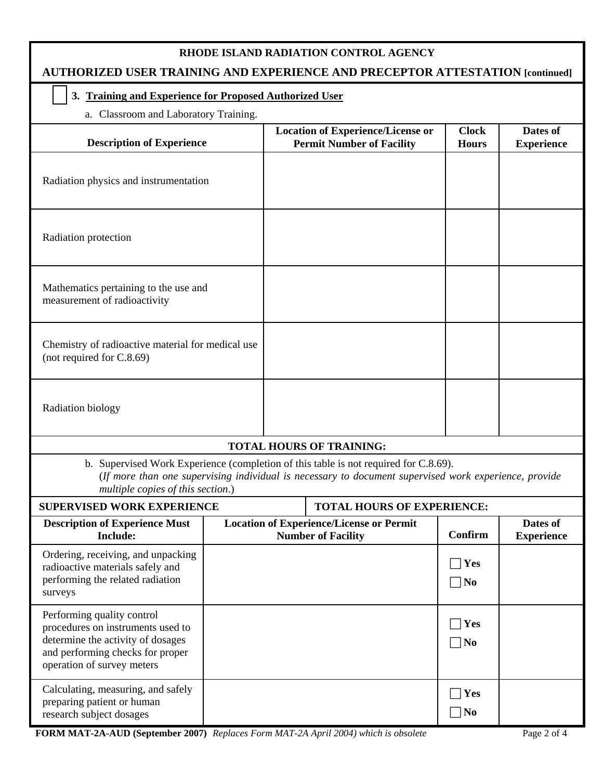|  | RHODE ISLAND RADIATION CONTROL AGENCY |
|--|---------------------------------------|
|--|---------------------------------------|

# **AUTHORIZED USER TRAINING AND EXPERIENCE AND PRECEPTOR ATTESTATION [continued]**

### **3. Training and Experience for Proposed Authorized User**

a. Classroom and Laboratory Training.

| <b>Description of Experience</b>                                                                                                                                                                                                   |                                                                              |  | <b>Location of Experience/License or</b><br><b>Permit Number of Facility</b> | <b>Clock</b><br><b>Hours</b>  | Dates of<br><b>Experience</b> |  |  |
|------------------------------------------------------------------------------------------------------------------------------------------------------------------------------------------------------------------------------------|------------------------------------------------------------------------------|--|------------------------------------------------------------------------------|-------------------------------|-------------------------------|--|--|
| Radiation physics and instrumentation                                                                                                                                                                                              |                                                                              |  |                                                                              |                               |                               |  |  |
| Radiation protection                                                                                                                                                                                                               |                                                                              |  |                                                                              |                               |                               |  |  |
| Mathematics pertaining to the use and<br>measurement of radioactivity                                                                                                                                                              |                                                                              |  |                                                                              |                               |                               |  |  |
| Chemistry of radioactive material for medical use<br>(not required for C.8.69)                                                                                                                                                     |                                                                              |  |                                                                              |                               |                               |  |  |
| Radiation biology                                                                                                                                                                                                                  |                                                                              |  |                                                                              |                               |                               |  |  |
|                                                                                                                                                                                                                                    |                                                                              |  | <b>TOTAL HOURS OF TRAINING:</b>                                              |                               |                               |  |  |
| b. Supervised Work Experience (completion of this table is not required for C.8.69).<br>(If more than one supervising individual is necessary to document supervised work experience, provide<br>multiple copies of this section.) |                                                                              |  |                                                                              |                               |                               |  |  |
| <b>SUPERVISED WORK EXPERIENCE</b>                                                                                                                                                                                                  |                                                                              |  | <b>TOTAL HOURS OF EXPERIENCE:</b>                                            |                               |                               |  |  |
| <b>Description of Experience Must</b><br><b>Include:</b>                                                                                                                                                                           | <b>Location of Experience/License or Permit</b><br><b>Number of Facility</b> |  | Confirm                                                                      | Dates of<br><b>Experience</b> |                               |  |  |
| Ordering, receiving, and unpacking<br>radioactive materials safely and<br>performing the related radiation<br>surveys                                                                                                              |                                                                              |  |                                                                              | $\Box$ Yes<br>$\Box$ No       |                               |  |  |
| Performing quality control<br>procedures on instruments used to<br>determine the activity of dosages<br>and performing checks for proper<br>operation of survey meters                                                             |                                                                              |  |                                                                              | Yes<br>$\neg$ No              |                               |  |  |
| Calculating, measuring, and safely<br>preparing patient or human<br>research subject dosages                                                                                                                                       |                                                                              |  |                                                                              | Yes<br>$\neg$ No              |                               |  |  |

**FORM MAT-2A-AUD (September 2007)** *Replaces Form MAT-2A April 2004) which is obsolete* Page 2 of 4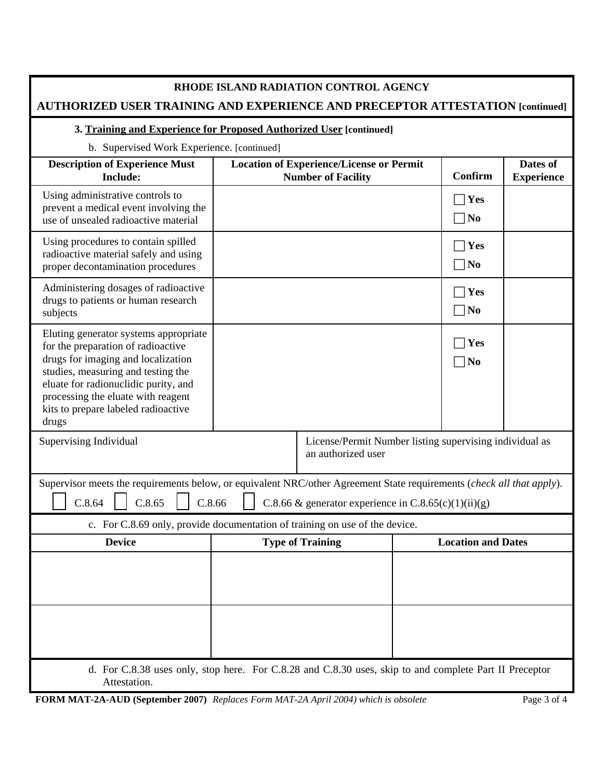# **AUTHORIZED USER TRAINING AND EXPERIENCE AND PRECEPTOR ATTESTATION [continued]**

#### **3. Training and Experience for Proposed Authorized User [continued]**

b. Supervised Work Experience. [continued]

| $\sigma$ . Bupervised $\sigma$ on Experience. [commutation]<br><b>Description of Experience Must</b><br><b>Include:</b>                                                                                                                                                               |  | <b>Location of Experience/License or Permit</b><br><b>Number of Facility</b>  |  | <b>Confirm</b>            | Dates of<br><b>Experience</b> |  |
|---------------------------------------------------------------------------------------------------------------------------------------------------------------------------------------------------------------------------------------------------------------------------------------|--|-------------------------------------------------------------------------------|--|---------------------------|-------------------------------|--|
| Using administrative controls to<br>prevent a medical event involving the<br>use of unsealed radioactive material                                                                                                                                                                     |  |                                                                               |  | Yes<br>$\neg$ No          |                               |  |
| Using procedures to contain spilled<br>radioactive material safely and using<br>proper decontamination procedures                                                                                                                                                                     |  |                                                                               |  | Yes<br>$\neg$ No          |                               |  |
| Administering dosages of radioactive<br>drugs to patients or human research<br>subjects                                                                                                                                                                                               |  |                                                                               |  | Yes<br>$\neg$ No          |                               |  |
| Eluting generator systems appropriate<br>for the preparation of radioactive<br>drugs for imaging and localization<br>studies, measuring and testing the<br>eluate for radionuclidic purity, and<br>processing the eluate with reagent<br>kits to prepare labeled radioactive<br>drugs |  |                                                                               |  | Yes<br>$\neg$ No          |                               |  |
| Supervising Individual                                                                                                                                                                                                                                                                |  | License/Permit Number listing supervising individual as<br>an authorized user |  |                           |                               |  |
| Supervisor meets the requirements below, or equivalent NRC/other Agreement State requirements (check all that apply).<br>C.8.64<br>C.8.65<br>C.8.66<br>C.8.66 & generator experience in C.8.65(c)(1)(ii)(g)                                                                           |  |                                                                               |  |                           |                               |  |
| c. For C.8.69 only, provide documentation of training on use of the device.                                                                                                                                                                                                           |  |                                                                               |  |                           |                               |  |
| <b>Device</b>                                                                                                                                                                                                                                                                         |  | <b>Type of Training</b>                                                       |  | <b>Location and Dates</b> |                               |  |
|                                                                                                                                                                                                                                                                                       |  |                                                                               |  |                           |                               |  |
|                                                                                                                                                                                                                                                                                       |  |                                                                               |  |                           |                               |  |
| d. For C.8.38 uses only, stop here. For C.8.28 and C.8.30 uses, skip to and complete Part II Preceptor<br>Attestation.                                                                                                                                                                |  |                                                                               |  |                           |                               |  |

**FORM MAT-2A-AUD (September 2007)** *Replaces Form MAT-2A April 2004) which is obsolete* Page 3 of 4